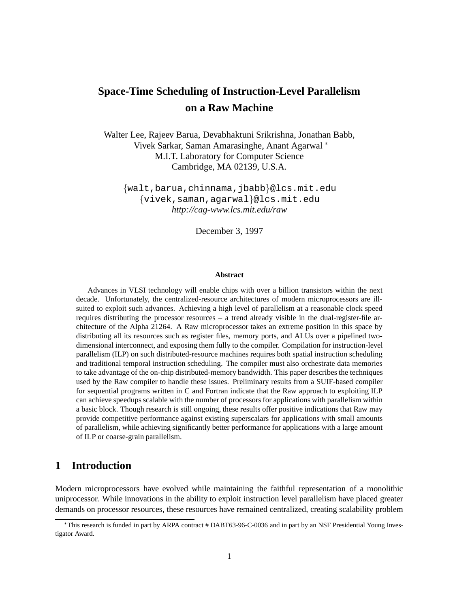# **Space-Time Scheduling of Instruction-Level Parallelism on a Raw Machine**

Walter Lee, Rajeev Barua, Devabhaktuni Srikrishna, Jonathan Babb, Vivek Sarkar, Saman Amarasinghe, Anant Agarwal M.I.T. Laboratory for Computer Science Cambridge, MA 02139, U.S.A.

fwalt,barua,chinnama,jbabbg@lcs.mit.edu {vivek, saman, agarwal}@lcs.mit.edu *http://cag-www.lcs.mit.edu/raw*

December 3, 1997

#### **Abstract**

Advances in VLSI technology will enable chips with over a billion transistors within the next decade. Unfortunately, the centralized-resource architectures of modern microprocessors are illsuited to exploit such advances. Achieving a high level of parallelism at a reasonable clock speed requires distributing the processor resources – a trend already visible in the dual-register-file architecture of the Alpha 21264. A Raw microprocessor takes an extreme position in this space by distributing all its resources such as register files, memory ports, and ALUs over a pipelined twodimensional interconnect, and exposing them fully to the compiler. Compilation for instruction-level parallelism (ILP) on such distributed-resource machines requires both spatial instruction scheduling and traditional temporal instruction scheduling. The compiler must also orchestrate data memories to take advantage of the on-chip distributed-memory bandwidth. This paper describes the techniques used by the Raw compiler to handle these issues. Preliminary results from a SUIF-based compiler for sequential programs written in C and Fortran indicate that the Raw approach to exploiting ILP can achieve speedups scalable with the number of processors for applications with parallelism within a basic block. Though research is still ongoing, these results offer positive indications that Raw may provide competitive performance against existing superscalars for applications with small amounts of parallelism, while achieving significantly better performance for applications with a large amount of ILP or coarse-grain parallelism.

### **1 Introduction**

Modern microprocessors have evolved while maintaining the faithful representation of a monolithic uniprocessor. While innovations in the ability to exploit instruction level parallelism have placed greater demands on processor resources, these resources have remained centralized, creating scalability problem

This research is funded in part by ARPA contract # DABT63-96-C-0036 and in part by an NSF Presidential Young Investigator Award.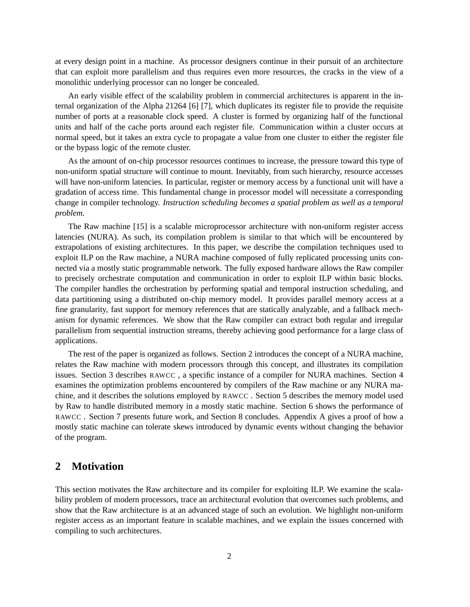at every design point in a machine. As processor designers continue in their pursuit of an architecture that can exploit more parallelism and thus requires even more resources, the cracks in the view of a monolithic underlying processor can no longer be concealed.

An early visible effect of the scalability problem in commercial architectures is apparent in the internal organization of the Alpha 21264 [6] [7], which duplicates its register file to provide the requisite number of ports at a reasonable clock speed. A cluster is formed by organizing half of the functional units and half of the cache ports around each register file. Communication within a cluster occurs at normal speed, but it takes an extra cycle to propagate a value from one cluster to either the register file or the bypass logic of the remote cluster.

As the amount of on-chip processor resources continues to increase, the pressure toward this type of non-uniform spatial structure will continue to mount. Inevitably, from such hierarchy, resource accesses will have non-uniform latencies. In particular, register or memory access by a functional unit will have a gradation of access time. This fundamental change in processor model will necessitate a corresponding change in compiler technology. *Instruction scheduling becomes a spatial problem as well as a temporal problem.*

The Raw machine [15] is a scalable microprocessor architecture with non-uniform register access latencies (NURA). As such, its compilation problem is similar to that which will be encountered by extrapolations of existing architectures. In this paper, we describe the compilation techniques used to exploit ILP on the Raw machine, a NURA machine composed of fully replicated processing units connected via a mostly static programmable network. The fully exposed hardware allows the Raw compiler to precisely orchestrate computation and communication in order to exploit ILP within basic blocks. The compiler handles the orchestration by performing spatial and temporal instruction scheduling, and data partitioning using a distributed on-chip memory model. It provides parallel memory access at a fine granularity, fast support for memory references that are statically analyzable, and a fallback mechanism for dynamic references. We show that the Raw compiler can extract both regular and irregular parallelism from sequential instruction streams, thereby achieving good performance for a large class of applications.

The rest of the paper is organized as follows. Section 2 introduces the concept of a NURA machine, relates the Raw machine with modern processors through this concept, and illustrates its compilation issues. Section 3 describes RAWCC , a specific instance of a compiler for NURA machines. Section 4 examines the optimization problems encountered by compilers of the Raw machine or any NURA machine, and it describes the solutions employed by RAWCC . Section 5 describes the memory model used by Raw to handle distributed memory in a mostly static machine. Section 6 shows the performance of RAWCC . Section 7 presents future work, and Section 8 concludes. Appendix A gives a proof of how a mostly static machine can tolerate skews introduced by dynamic events without changing the behavior of the program.

### **2 Motivation**

This section motivates the Raw architecture and its compiler for exploiting ILP. We examine the scalability problem of modern processors, trace an architectural evolution that overcomes such problems, and show that the Raw architecture is at an advanced stage of such an evolution. We highlight non-uniform register access as an important feature in scalable machines, and we explain the issues concerned with compiling to such architectures.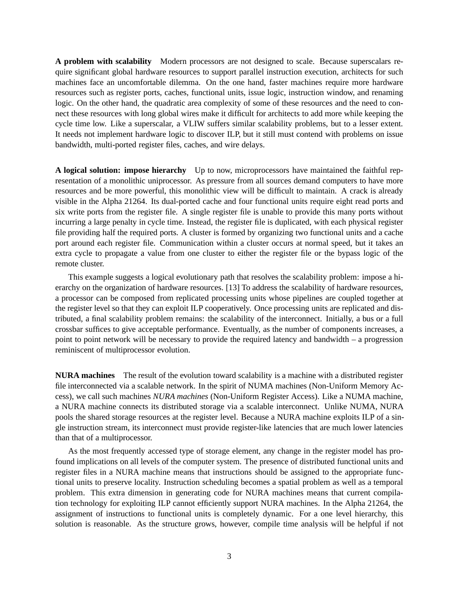**A problem with scalability** Modern processors are not designed to scale. Because superscalars require significant global hardware resources to support parallel instruction execution, architects for such machines face an uncomfortable dilemma. On the one hand, faster machines require more hardware resources such as register ports, caches, functional units, issue logic, instruction window, and renaming logic. On the other hand, the quadratic area complexity of some of these resources and the need to connect these resources with long global wires make it difficult for architects to add more while keeping the cycle time low. Like a superscalar, a VLIW suffers similar scalability problems, but to a lesser extent. It needs not implement hardware logic to discover ILP, but it still must contend with problems on issue bandwidth, multi-ported register files, caches, and wire delays.

**A logical solution: impose hierarchy** Up to now, microprocessors have maintained the faithful representation of a monolithic uniprocessor. As pressure from all sources demand computers to have more resources and be more powerful, this monolithic view will be difficult to maintain. A crack is already visible in the Alpha 21264. Its dual-ported cache and four functional units require eight read ports and six write ports from the register file. A single register file is unable to provide this many ports without incurring a large penalty in cycle time. Instead, the register file is duplicated, with each physical register file providing half the required ports. A cluster is formed by organizing two functional units and a cache port around each register file. Communication within a cluster occurs at normal speed, but it takes an extra cycle to propagate a value from one cluster to either the register file or the bypass logic of the remote cluster.

This example suggests a logical evolutionary path that resolves the scalability problem: impose a hierarchy on the organization of hardware resources. [13] To address the scalability of hardware resources, a processor can be composed from replicated processing units whose pipelines are coupled together at the register level so that they can exploit ILP cooperatively. Once processing units are replicated and distributed, a final scalability problem remains: the scalability of the interconnect. Initially, a bus or a full crossbar suffices to give acceptable performance. Eventually, as the number of components increases, a point to point network will be necessary to provide the required latency and bandwidth – a progression reminiscent of multiprocessor evolution.

**NURA machines** The result of the evolution toward scalability is a machine with a distributed register file interconnected via a scalable network. In the spirit of NUMA machines (Non-Uniform Memory Access), we call such machines *NURA machines* (Non-Uniform Register Access). Like a NUMA machine, a NURA machine connects its distributed storage via a scalable interconnect. Unlike NUMA, NURA pools the shared storage resources at the register level. Because a NURA machine exploits ILP of a single instruction stream, its interconnect must provide register-like latencies that are much lower latencies than that of a multiprocessor.

As the most frequently accessed type of storage element, any change in the register model has profound implications on all levels of the computer system. The presence of distributed functional units and register files in a NURA machine means that instructions should be assigned to the appropriate functional units to preserve locality. Instruction scheduling becomes a spatial problem as well as a temporal problem. This extra dimension in generating code for NURA machines means that current compilation technology for exploiting ILP cannot efficiently support NURA machines. In the Alpha 21264, the assignment of instructions to functional units is completely dynamic. For a one level hierarchy, this solution is reasonable. As the structure grows, however, compile time analysis will be helpful if not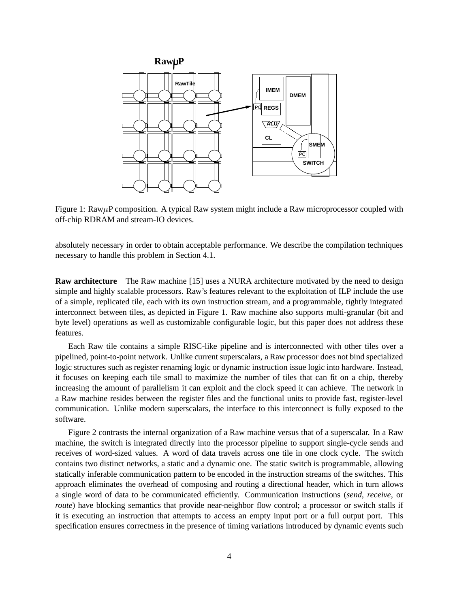

Figure 1: Raw $\mu$ P composition. A typical Raw system might include a Raw microprocessor coupled with off-chip RDRAM and stream-IO devices.

absolutely necessary in order to obtain acceptable performance. We describe the compilation techniques necessary to handle this problem in Section 4.1.

**Raw architecture** The Raw machine [15] uses a NURA architecture motivated by the need to design simple and highly scalable processors. Raw's features relevant to the exploitation of ILP include the use of a simple, replicated tile, each with its own instruction stream, and a programmable, tightly integrated interconnect between tiles, as depicted in Figure 1. Raw machine also supports multi-granular (bit and byte level) operations as well as customizable configurable logic, but this paper does not address these features.

Each Raw tile contains a simple RISC-like pipeline and is interconnected with other tiles over a pipelined, point-to-point network. Unlike current superscalars, a Raw processor does not bind specialized logic structures such as register renaming logic or dynamic instruction issue logic into hardware. Instead, it focuses on keeping each tile small to maximize the number of tiles that can fit on a chip, thereby increasing the amount of parallelism it can exploit and the clock speed it can achieve. The network in a Raw machine resides between the register files and the functional units to provide fast, register-level communication. Unlike modern superscalars, the interface to this interconnect is fully exposed to the software.

Figure 2 contrasts the internal organization of a Raw machine versus that of a superscalar. In a Raw machine, the switch is integrated directly into the processor pipeline to support single-cycle sends and receives of word-sized values. A word of data travels across one tile in one clock cycle. The switch contains two distinct networks, a static and a dynamic one. The static switch is programmable, allowing statically inferable communication pattern to be encoded in the instruction streams of the switches. This approach eliminates the overhead of composing and routing a directional header, which in turn allows a single word of data to be communicated efficiently. Communication instructions (*send*, *receive*, or *route*) have blocking semantics that provide near-neighbor flow control; a processor or switch stalls if it is executing an instruction that attempts to access an empty input port or a full output port. This specification ensures correctness in the presence of timing variations introduced by dynamic events such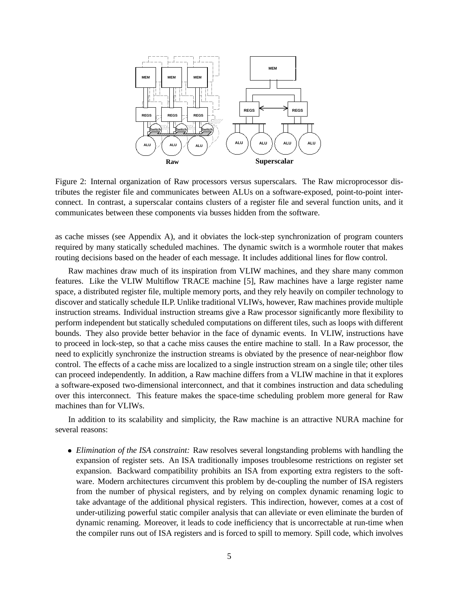

Figure 2: Internal organization of Raw processors versus superscalars. The Raw microprocessor distributes the register file and communicates between ALUs on a software-exposed, point-to-point interconnect. In contrast, a superscalar contains clusters of a register file and several function units, and it communicates between these components via busses hidden from the software.

as cache misses (see Appendix A), and it obviates the lock-step synchronization of program counters required by many statically scheduled machines. The dynamic switch is a wormhole router that makes routing decisions based on the header of each message. It includes additional lines for flow control.

Raw machines draw much of its inspiration from VLIW machines, and they share many common features. Like the VLIW Multiflow TRACE machine [5], Raw machines have a large register name space, a distributed register file, multiple memory ports, and they rely heavily on compiler technology to discover and statically schedule ILP. Unlike traditional VLIWs, however, Raw machines provide multiple instruction streams. Individual instruction streams give a Raw processor significantly more flexibility to perform independent but statically scheduled computations on different tiles, such as loops with different bounds. They also provide better behavior in the face of dynamic events. In VLIW, instructions have to proceed in lock-step, so that a cache miss causes the entire machine to stall. In a Raw processor, the need to explicitly synchronize the instruction streams is obviated by the presence of near-neighbor flow control. The effects of a cache miss are localized to a single instruction stream on a single tile; other tiles can proceed independently. In addition, a Raw machine differs from a VLIW machine in that it explores a software-exposed two-dimensional interconnect, and that it combines instruction and data scheduling over this interconnect. This feature makes the space-time scheduling problem more general for Raw machines than for VLIWs.

In addition to its scalability and simplicity, the Raw machine is an attractive NURA machine for several reasons:

 *Elimination of the ISA constraint:* Raw resolves several longstanding problems with handling the expansion of register sets. An ISA traditionally imposes troublesome restrictions on register set expansion. Backward compatibility prohibits an ISA from exporting extra registers to the software. Modern architectures circumvent this problem by de-coupling the number of ISA registers from the number of physical registers, and by relying on complex dynamic renaming logic to take advantage of the additional physical registers. This indirection, however, comes at a cost of under-utilizing powerful static compiler analysis that can alleviate or even eliminate the burden of dynamic renaming. Moreover, it leads to code inefficiency that is uncorrectable at run-time when the compiler runs out of ISA registers and is forced to spill to memory. Spill code, which involves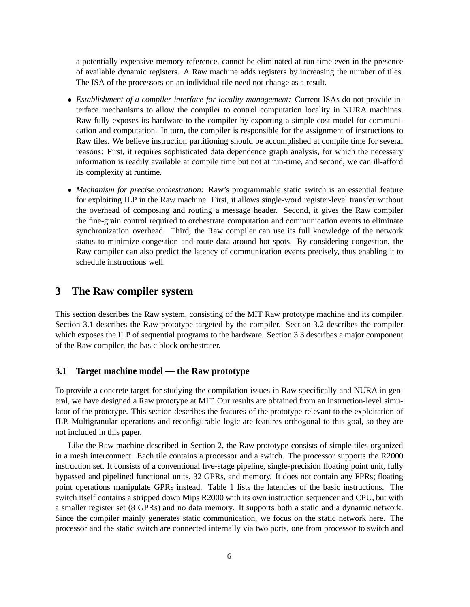a potentially expensive memory reference, cannot be eliminated at run-time even in the presence of available dynamic registers. A Raw machine adds registers by increasing the number of tiles. The ISA of the processors on an individual tile need not change as a result.

- *Establishment of a compiler interface for locality management:* Current ISAs do not provide interface mechanisms to allow the compiler to control computation locality in NURA machines. Raw fully exposes its hardware to the compiler by exporting a simple cost model for communication and computation. In turn, the compiler is responsible for the assignment of instructions to Raw tiles. We believe instruction partitioning should be accomplished at compile time for several reasons: First, it requires sophisticated data dependence graph analysis, for which the necessary information is readily available at compile time but not at run-time, and second, we can ill-afford its complexity at runtime.
- *Mechanism for precise orchestration:* Raw's programmable static switch is an essential feature for exploiting ILP in the Raw machine. First, it allows single-word register-level transfer without the overhead of composing and routing a message header. Second, it gives the Raw compiler the fine-grain control required to orchestrate computation and communication events to eliminate synchronization overhead. Third, the Raw compiler can use its full knowledge of the network status to minimize congestion and route data around hot spots. By considering congestion, the Raw compiler can also predict the latency of communication events precisely, thus enabling it to schedule instructions well.

### **3 The Raw compiler system**

This section describes the Raw system, consisting of the MIT Raw prototype machine and its compiler. Section 3.1 describes the Raw prototype targeted by the compiler. Section 3.2 describes the compiler which exposes the ILP of sequential programs to the hardware. Section 3.3 describes a major component of the Raw compiler, the basic block orchestrater.

### **3.1 Target machine model — the Raw prototype**

To provide a concrete target for studying the compilation issues in Raw specifically and NURA in general, we have designed a Raw prototype at MIT. Our results are obtained from an instruction-level simulator of the prototype. This section describes the features of the prototype relevant to the exploitation of ILP. Multigranular operations and reconfigurable logic are features orthogonal to this goal, so they are not included in this paper.

Like the Raw machine described in Section 2, the Raw prototype consists of simple tiles organized in a mesh interconnect. Each tile contains a processor and a switch. The processor supports the R2000 instruction set. It consists of a conventional five-stage pipeline, single-precision floating point unit, fully bypassed and pipelined functional units, 32 GPRs, and memory. It does not contain any FPRs; floating point operations manipulate GPRs instead. Table 1 lists the latencies of the basic instructions. The switch itself contains a stripped down Mips R2000 with its own instruction sequencer and CPU, but with a smaller register set (8 GPRs) and no data memory. It supports both a static and a dynamic network. Since the compiler mainly generates static communication, we focus on the static network here. The processor and the static switch are connected internally via two ports, one from processor to switch and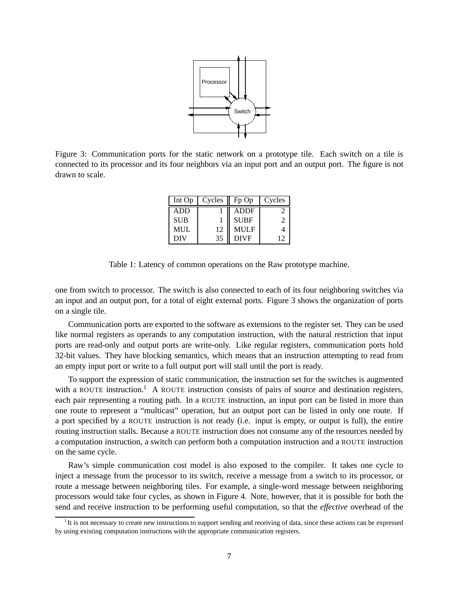

Figure 3: Communication ports for the static network on a prototype tile. Each switch on a tile is connected to its processor and its four neighbors via an input port and an output port. The figure is not drawn to scale.

| Int Op     | Cycles | $Fp$ Op     | Cycles |
|------------|--------|-------------|--------|
| <b>ADD</b> |        | <b>ADDF</b> |        |
| <b>SUB</b> |        | <b>SUBF</b> |        |
| <b>MUL</b> | 12     | <b>MULF</b> |        |
| <b>DIV</b> | 35     | <b>DIVF</b> | 12     |

Table 1: Latency of common operations on the Raw prototype machine.

one from switch to processor. The switch is also connected to each of its four neighboring switches via an input and an output port, for a total of eight external ports. Figure 3 shows the organization of ports on a single tile.

Communication ports are exported to the software as extensions to the register set. They can be used like normal registers as operands to any computation instruction, with the natural restriction that input ports are read-only and output ports are write-only. Like regular registers, communication ports hold 32-bit values. They have blocking semantics, which means that an instruction attempting to read from an empty input port or write to a full output port will stall until the port is ready.

To support the expression of static communication, the instruction set for the switches is augmented with a ROUTE instruction.<sup>1</sup> A ROUTE instruction consists of pairs of source and destination registers, each pair representing a routing path. In a ROUTE instruction, an input port can be listed in more than one route to represent a "multicast" operation, but an output port can be listed in only one route. If a port specified by a ROUTE instruction is not ready (i.e. input is empty, or output is full), the entire routing instruction stalls. Because a ROUTE instruction does not consume any of the resources needed by a computation instruction, a switch can perform both a computation instruction and a ROUTE instruction on the same cycle.

Raw's simple communication cost model is also exposed to the compiler. It takes one cycle to inject a message from the processor to its switch, receive a message from a switch to its processor, or route a message between neighboring tiles. For example, a single-word message between neighboring processors would take four cycles, as shown in Figure 4. Note, however, that it is possible for both the send and receive instruction to be performing useful computation, so that the *effective* overhead of the

<sup>1</sup> It is not necessary to create new instructions to support sending and receiving of data, since these actions can be expressed by using existing computation instructions with the appropriate communication registers.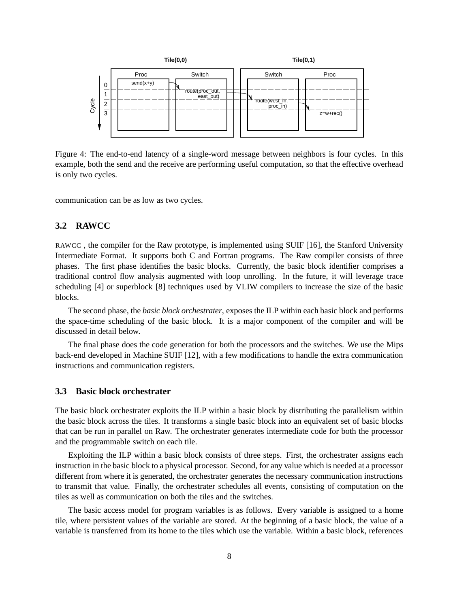

Figure 4: The end-to-end latency of a single-word message between neighbors is four cycles. In this example, both the send and the receive are performing useful computation, so that the effective overhead is only two cycles.

communication can be as low as two cycles.

### **3.2 RAWCC**

RAWCC , the compiler for the Raw prototype, is implemented using SUIF [16], the Stanford University Intermediate Format. It supports both C and Fortran programs. The Raw compiler consists of three phases. The first phase identifies the basic blocks. Currently, the basic block identifier comprises a traditional control flow analysis augmented with loop unrolling. In the future, it will leverage trace scheduling [4] or superblock [8] techniques used by VLIW compilers to increase the size of the basic blocks.

The second phase, the *basic block orchestrater*, exposes the ILP within each basic block and performs the space-time scheduling of the basic block. It is a major component of the compiler and will be discussed in detail below.

The final phase does the code generation for both the processors and the switches. We use the Mips back-end developed in Machine SUIF [12], with a few modifications to handle the extra communication instructions and communication registers.

#### **3.3 Basic block orchestrater**

The basic block orchestrater exploits the ILP within a basic block by distributing the parallelism within the basic block across the tiles. It transforms a single basic block into an equivalent set of basic blocks that can be run in parallel on Raw. The orchestrater generates intermediate code for both the processor and the programmable switch on each tile.

Exploiting the ILP within a basic block consists of three steps. First, the orchestrater assigns each instruction in the basic block to a physical processor. Second, for any value which is needed at a processor different from where it is generated, the orchestrater generates the necessary communication instructions to transmit that value. Finally, the orchestrater schedules all events, consisting of computation on the tiles as well as communication on both the tiles and the switches.

The basic access model for program variables is as follows. Every variable is assigned to a home tile, where persistent values of the variable are stored. At the beginning of a basic block, the value of a variable is transferred from its home to the tiles which use the variable. Within a basic block, references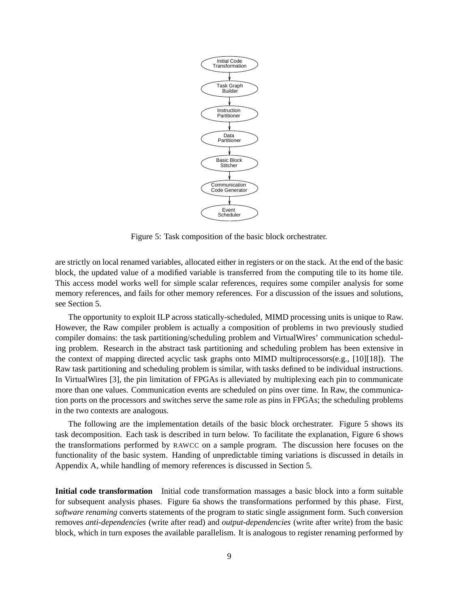

Figure 5: Task composition of the basic block orchestrater.

are strictly on local renamed variables, allocated either in registers or on the stack. At the end of the basic block, the updated value of a modified variable is transferred from the computing tile to its home tile. This access model works well for simple scalar references, requires some compiler analysis for some memory references, and fails for other memory references. For a discussion of the issues and solutions, see Section 5.

The opportunity to exploit ILP across statically-scheduled, MIMD processing units is unique to Raw. However, the Raw compiler problem is actually a composition of problems in two previously studied compiler domains: the task partitioning/scheduling problem and VirtualWires' communication scheduling problem. Research in the abstract task partitioning and scheduling problem has been extensive in the context of mapping directed acyclic task graphs onto MIMD multiprocessors(e.g., [10][18]). The Raw task partitioning and scheduling problem is similar, with tasks defined to be individual instructions. In VirtualWires [3], the pin limitation of FPGAs is alleviated by multiplexing each pin to communicate more than one values. Communication events are scheduled on pins over time. In Raw, the communication ports on the processors and switches serve the same role as pins in FPGAs; the scheduling problems in the two contexts are analogous.

The following are the implementation details of the basic block orchestrater. Figure 5 shows its task decomposition. Each task is described in turn below. To facilitate the explanation, Figure 6 shows the transformations performed by RAWCC on a sample program. The discussion here focuses on the functionality of the basic system. Handing of unpredictable timing variations is discussed in details in Appendix A, while handling of memory references is discussed in Section 5.

**Initial code transformation** Initial code transformation massages a basic block into a form suitable for subsequent analysis phases. Figure 6a shows the transformations performed by this phase. First, *software renaming* converts statements of the program to static single assignment form. Such conversion removes *anti-dependencies* (write after read) and *output-dependencies* (write after write) from the basic block, which in turn exposes the available parallelism. It is analogous to register renaming performed by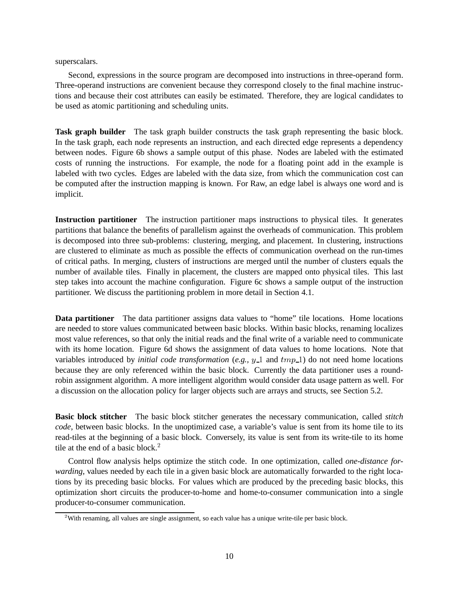superscalars.

Second, expressions in the source program are decomposed into instructions in three-operand form. Three-operand instructions are convenient because they correspond closely to the final machine instructions and because their cost attributes can easily be estimated. Therefore, they are logical candidates to be used as atomic partitioning and scheduling units.

**Task graph builder** The task graph builder constructs the task graph representing the basic block. In the task graph, each node represents an instruction, and each directed edge represents a dependency between nodes. Figure 6b shows a sample output of this phase. Nodes are labeled with the estimated costs of running the instructions. For example, the node for a floating point add in the example is labeled with two cycles. Edges are labeled with the data size, from which the communication cost can be computed after the instruction mapping is known. For Raw, an edge label is always one word and is implicit.

**Instruction partitioner** The instruction partitioner maps instructions to physical tiles. It generates partitions that balance the benefits of parallelism against the overheads of communication. This problem is decomposed into three sub-problems: clustering, merging, and placement. In clustering, instructions are clustered to eliminate as much as possible the effects of communication overhead on the run-times of critical paths. In merging, clusters of instructions are merged until the number of clusters equals the number of available tiles. Finally in placement, the clusters are mapped onto physical tiles. This last step takes into account the machine configuration. Figure 6c shows a sample output of the instruction partitioner. We discuss the partitioning problem in more detail in Section 4.1.

**Data partitioner** The data partitioner assigns data values to "home" tile locations. Home locations are needed to store values communicated between basic blocks. Within basic blocks, renaming localizes most value references, so that only the initial reads and the final write of a variable need to communicate with its home location. Figure 6d shows the assignment of data values to home locations. Note that variables introduced by *initial code transformation* (*e.g.,*  $y_1$  and  $tmp_1)$  do not need home locations because they are only referenced within the basic block. Currently the data partitioner uses a roundrobin assignment algorithm. A more intelligent algorithm would consider data usage pattern as well. For a discussion on the allocation policy for larger objects such are arrays and structs, see Section 5.2.

**Basic block stitcher** The basic block stitcher generates the necessary communication, called *stitch code*, between basic blocks. In the unoptimized case, a variable's value is sent from its home tile to its read-tiles at the beginning of a basic block. Conversely, its value is sent from its write-tile to its home tile at the end of a basic block.<sup>2</sup>

Control flow analysis helps optimize the stitch code. In one optimization, called *one-distance forwarding*, values needed by each tile in a given basic block are automatically forwarded to the right locations by its preceding basic blocks. For values which are produced by the preceding basic blocks, this optimization short circuits the producer-to-home and home-to-consumer communication into a single producer-to-consumer communication.

<sup>&</sup>lt;sup>2</sup>With renaming, all values are single assignment, so each value has a unique write-tile per basic block.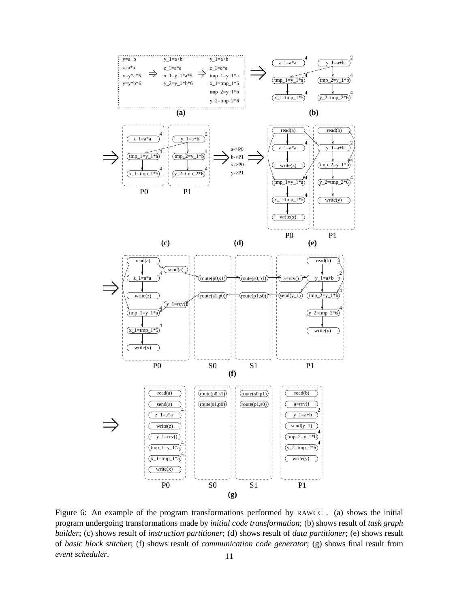

Figure 6: An example of the program transformations performed by RAWCC . (a) shows the initial program undergoing transformations made by *initial code transformation*; (b) shows result of *task graph builder*; (c) shows result of *instruction partitioner*; (d) shows result of *data partitioner*; (e) shows result of *basic block stitcher*; (f) shows result of *communication code generator*; (g) shows final result from *event scheduler.* 11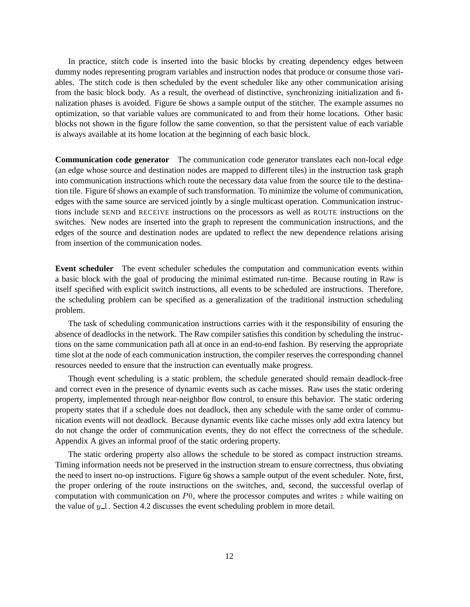In practice, stitch code is inserted into the basic blocks by creating dependency edges between dummy nodes representing program variables and instruction nodes that produce or consume those variables. The stitch code is then scheduled by the event scheduler like any other communication arising from the basic block body. As a result, the overhead of distinctive, synchronizing initialization and finalization phases is avoided. Figure 6e shows a sample output of the stitcher. The example assumes no optimization, so that variable values are communicated to and from their home locations. Other basic blocks not shown in the figure follow the same convention, so that the persistent value of each variable is always available at its home location at the beginning of each basic block.

**Communication code generator** The communication code generator translates each non-local edge (an edge whose source and destination nodes are mapped to different tiles) in the instruction task graph into communication instructions which route the necessary data value from the source tile to the destination tile. Figure 6f shows an example of such transformation. To minimize the volume of communication, edges with the same source are serviced jointly by a single multicast operation. Communication instructions include SEND and RECEIVE instructions on the processors as well as ROUTE instructions on the switches. New nodes are inserted into the graph to represent the communication instructions, and the edges of the source and destination nodes are updated to reflect the new dependence relations arising from insertion of the communication nodes.

**Event scheduler** The event scheduler schedules the computation and communication events within a basic block with the goal of producing the minimal estimated run-time. Because routing in Raw is itself specified with explicit switch instructions, all events to be scheduled are instructions. Therefore, the scheduling problem can be specified as a generalization of the traditional instruction scheduling problem.

The task of scheduling communication instructions carries with it the responsibility of ensuring the absence of deadlocks in the network. The Raw compiler satisfies this condition by scheduling the instructions on the same communication path all at once in an end-to-end fashion. By reserving the appropriate time slot at the node of each communication instruction, the compiler reserves the corresponding channel resources needed to ensure that the instruction can eventually make progress.

Though event scheduling is a static problem, the schedule generated should remain deadlock-free and correct even in the presence of dynamic events such as cache misses. Raw uses the static ordering property, implemented through near-neighbor flow control, to ensure this behavior. The static ordering property states that if a schedule does not deadlock, then any schedule with the same order of communication events will not deadlock. Because dynamic events like cache misses only add extra latency but do not change the order of communication events, they do not effect the correctness of the schedule. Appendix A gives an informal proof of the static ordering property.

The static ordering property also allows the schedule to be stored as compact instruction streams. Timing information needs not be preserved in the instruction stream to ensure correctness, thus obviating the need to insert no-op instructions. Figure 6g shows a sample output of the event scheduler. Note, first, the proper ordering of the route instructions on the switches, and, second, the successful overlap of computation with communication on  $P_0$ , where the processor computes and writes z while waiting on the value of  $y_1$ . Section 4.2 discusses the event scheduling problem in more detail.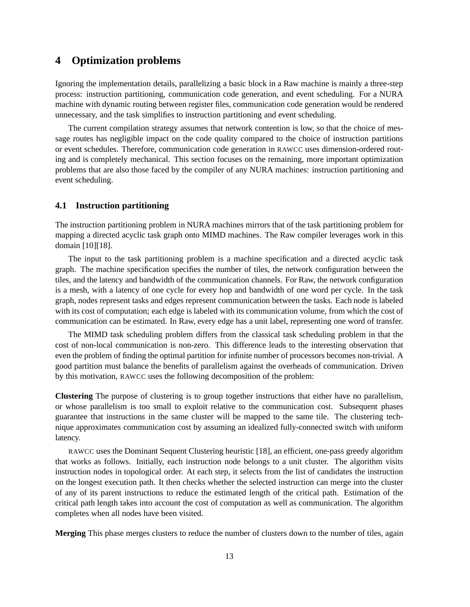### **4 Optimization problems**

Ignoring the implementation details, parallelizing a basic block in a Raw machine is mainly a three-step process: instruction partitioning, communication code generation, and event scheduling. For a NURA machine with dynamic routing between register files, communication code generation would be rendered unnecessary, and the task simplifies to instruction partitioning and event scheduling.

The current compilation strategy assumes that network contention is low, so that the choice of message routes has negligible impact on the code quality compared to the choice of instruction partitions or event schedules. Therefore, communication code generation in RAWCC uses dimension-ordered routing and is completely mechanical. This section focuses on the remaining, more important optimization problems that are also those faced by the compiler of any NURA machines: instruction partitioning and event scheduling.

#### **4.1 Instruction partitioning**

The instruction partitioning problem in NURA machines mirrors that of the task partitioning problem for mapping a directed acyclic task graph onto MIMD machines. The Raw compiler leverages work in this domain [10][18].

The input to the task partitioning problem is a machine specification and a directed acyclic task graph. The machine specification specifies the number of tiles, the network configuration between the tiles, and the latency and bandwidth of the communication channels. For Raw, the network configuration is a mesh, with a latency of one cycle for every hop and bandwidth of one word per cycle. In the task graph, nodes represent tasks and edges represent communication between the tasks. Each node is labeled with its cost of computation; each edge is labeled with its communication volume, from which the cost of communication can be estimated. In Raw, every edge has a unit label, representing one word of transfer.

The MIMD task scheduling problem differs from the classical task scheduling problem in that the cost of non-local communication is non-zero. This difference leads to the interesting observation that even the problem of finding the optimal partition for infinite number of processors becomes non-trivial. A good partition must balance the benefits of parallelism against the overheads of communication. Driven by this motivation, RAWCC uses the following decomposition of the problem:

**Clustering** The purpose of clustering is to group together instructions that either have no parallelism, or whose parallelism is too small to exploit relative to the communication cost. Subsequent phases guarantee that instructions in the same cluster will be mapped to the same tile. The clustering technique approximates communication cost by assuming an idealized fully-connected switch with uniform latency.

RAWCC uses the Dominant Sequent Clustering heuristic [18], an efficient, one-pass greedy algorithm that works as follows. Initially, each instruction node belongs to a unit cluster. The algorithm visits instruction nodes in topological order. At each step, it selects from the list of candidates the instruction on the longest execution path. It then checks whether the selected instruction can merge into the cluster of any of its parent instructions to reduce the estimated length of the critical path. Estimation of the critical path length takes into account the cost of computation as well as communication. The algorithm completes when all nodes have been visited.

**Merging** This phase merges clusters to reduce the number of clusters down to the number of tiles, again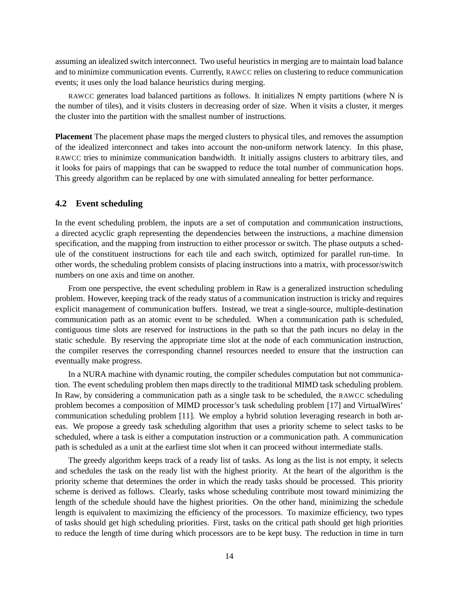assuming an idealized switch interconnect. Two useful heuristics in merging are to maintain load balance and to minimize communication events. Currently, RAWCC relies on clustering to reduce communication events; it uses only the load balance heuristics during merging.

RAWCC generates load balanced partitions as follows. It initializes N empty partitions (where N is the number of tiles), and it visits clusters in decreasing order of size. When it visits a cluster, it merges the cluster into the partition with the smallest number of instructions.

**Placement** The placement phase maps the merged clusters to physical tiles, and removes the assumption of the idealized interconnect and takes into account the non-uniform network latency. In this phase, RAWCC tries to minimize communication bandwidth. It initially assigns clusters to arbitrary tiles, and it looks for pairs of mappings that can be swapped to reduce the total number of communication hops. This greedy algorithm can be replaced by one with simulated annealing for better performance.

#### **4.2 Event scheduling**

In the event scheduling problem, the inputs are a set of computation and communication instructions, a directed acyclic graph representing the dependencies between the instructions, a machine dimension specification, and the mapping from instruction to either processor or switch. The phase outputs a schedule of the constituent instructions for each tile and each switch, optimized for parallel run-time. In other words, the scheduling problem consists of placing instructions into a matrix, with processor/switch numbers on one axis and time on another.

From one perspective, the event scheduling problem in Raw is a generalized instruction scheduling problem. However, keeping track of the ready status of a communication instruction is tricky and requires explicit management of communication buffers. Instead, we treat a single-source, multiple-destination communication path as an atomic event to be scheduled. When a communication path is scheduled, contiguous time slots are reserved for instructions in the path so that the path incurs no delay in the static schedule. By reserving the appropriate time slot at the node of each communication instruction, the compiler reserves the corresponding channel resources needed to ensure that the instruction can eventually make progress.

In a NURA machine with dynamic routing, the compiler schedules computation but not communication. The event scheduling problem then maps directly to the traditional MIMD task scheduling problem. In Raw, by considering a communication path as a single task to be scheduled, the RAWCC scheduling problem becomes a composition of MIMD processor's task scheduling problem [17] and VirtualWires' communication scheduling problem [11]. We employ a hybrid solution leveraging research in both areas. We propose a greedy task scheduling algorithm that uses a priority scheme to select tasks to be scheduled, where a task is either a computation instruction or a communication path. A communication path is scheduled as a unit at the earliest time slot when it can proceed without intermediate stalls.

The greedy algorithm keeps track of a ready list of tasks. As long as the list is not empty, it selects and schedules the task on the ready list with the highest priority. At the heart of the algorithm is the priority scheme that determines the order in which the ready tasks should be processed. This priority scheme is derived as follows. Clearly, tasks whose scheduling contribute most toward minimizing the length of the schedule should have the highest priorities. On the other hand, minimizing the schedule length is equivalent to maximizing the efficiency of the processors. To maximize efficiency, two types of tasks should get high scheduling priorities. First, tasks on the critical path should get high priorities to reduce the length of time during which processors are to be kept busy. The reduction in time in turn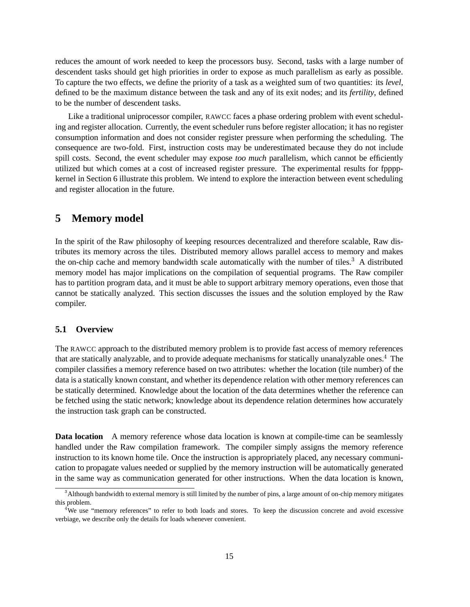reduces the amount of work needed to keep the processors busy. Second, tasks with a large number of descendent tasks should get high priorities in order to expose as much parallelism as early as possible. To capture the two effects, we define the priority of a task as a weighted sum of two quantities: its *level*, defined to be the maximum distance between the task and any of its exit nodes; and its *fertility*, defined to be the number of descendent tasks.

Like a traditional uniprocessor compiler, RAWCC faces a phase ordering problem with event scheduling and register allocation. Currently, the event scheduler runs before register allocation; it has no register consumption information and does not consider register pressure when performing the scheduling. The consequence are two-fold. First, instruction costs may be underestimated because they do not include spill costs. Second, the event scheduler may expose *too much* parallelism, which cannot be efficiently utilized but which comes at a cost of increased register pressure. The experimental results for fppppkernel in Section 6 illustrate this problem. We intend to explore the interaction between event scheduling and register allocation in the future.

### **5 Memory model**

In the spirit of the Raw philosophy of keeping resources decentralized and therefore scalable, Raw distributes its memory across the tiles. Distributed memory allows parallel access to memory and makes the on-chip cache and memory bandwidth scale automatically with the number of tiles.<sup>3</sup> A distributed memory model has major implications on the compilation of sequential programs. The Raw compiler has to partition program data, and it must be able to support arbitrary memory operations, even those that cannot be statically analyzed. This section discusses the issues and the solution employed by the Raw compiler.

### **5.1 Overview**

The RAWCC approach to the distributed memory problem is to provide fast access of memory references that are statically analyzable, and to provide adequate mechanisms for statically unanalyzable ones.<sup>4</sup> The compiler classifies a memory reference based on two attributes: whether the location (tile number) of the data is a statically known constant, and whether its dependence relation with other memory references can be statically determined. Knowledge about the location of the data determines whether the reference can be fetched using the static network; knowledge about its dependence relation determines how accurately the instruction task graph can be constructed.

**Data location** A memory reference whose data location is known at compile-time can be seamlessly handled under the Raw compilation framework. The compiler simply assigns the memory reference instruction to its known home tile. Once the instruction is appropriately placed, any necessary communication to propagate values needed or supplied by the memory instruction will be automatically generated in the same way as communication generated for other instructions. When the data location is known,

<sup>3</sup> Although bandwidth to external memory is still limited by the number of pins, a large amount of on-chip memory mitigates this problem.

<sup>&</sup>lt;sup>4</sup>We use "memory references" to refer to both loads and stores. To keep the discussion concrete and avoid excessive verbiage, we describe only the details for loads whenever convenient.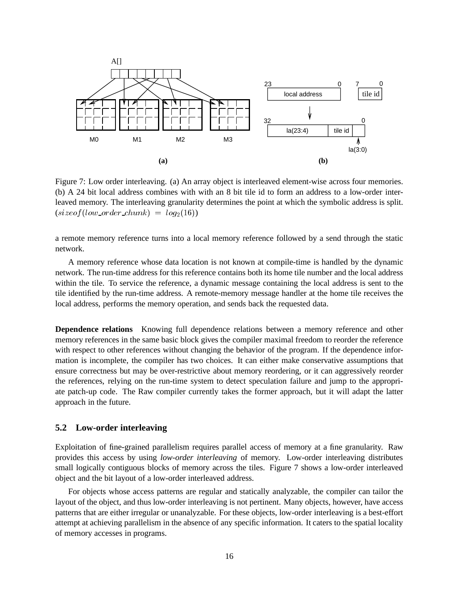

Figure 7: Low order interleaving. (a) An array object is interleaved element-wise across four memories. (b) A 24 bit local address combines with with an 8 bit tile id to form an address to a low-order interleaved memory. The interleaving granularity determines the point at which the symbolic address is split.  $(sizeof (low-order\_chunk) = log<sub>2</sub>(16))$ 

a remote memory reference turns into a local memory reference followed by a send through the static network.

A memory reference whose data location is not known at compile-time is handled by the dynamic network. The run-time address for this reference contains both its home tile number and the local address within the tile. To service the reference, a dynamic message containing the local address is sent to the tile identified by the run-time address. A remote-memory message handler at the home tile receives the local address, performs the memory operation, and sends back the requested data.

**Dependence relations** Knowing full dependence relations between a memory reference and other memory references in the same basic block gives the compiler maximal freedom to reorder the reference with respect to other references without changing the behavior of the program. If the dependence information is incomplete, the compiler has two choices. It can either make conservative assumptions that ensure correctness but may be over-restrictive about memory reordering, or it can aggressively reorder the references, relying on the run-time system to detect speculation failure and jump to the appropriate patch-up code. The Raw compiler currently takes the former approach, but it will adapt the latter approach in the future.

#### **5.2 Low-order interleaving**

Exploitation of fine-grained parallelism requires parallel access of memory at a fine granularity. Raw provides this access by using *low-order interleaving* of memory. Low-order interleaving distributes small logically contiguous blocks of memory across the tiles. Figure 7 shows a low-order interleaved object and the bit layout of a low-order interleaved address.

For objects whose access patterns are regular and statically analyzable, the compiler can tailor the layout of the object, and thus low-order interleaving is not pertinent. Many objects, however, have access patterns that are either irregular or unanalyzable. For these objects, low-order interleaving is a best-effort attempt at achieving parallelism in the absence of any specific information. It caters to the spatial locality of memory accesses in programs.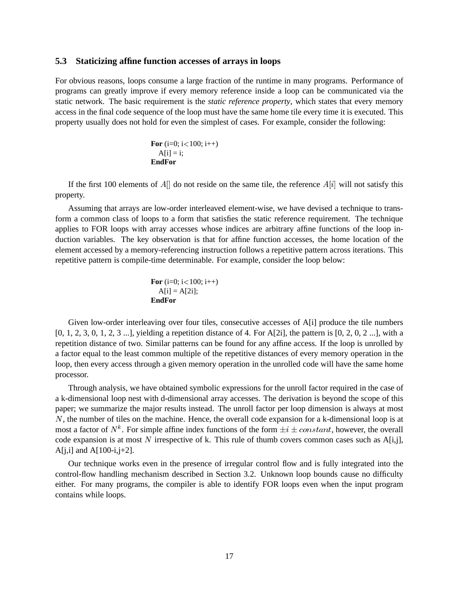#### **5.3 Staticizing affine function accesses of arrays in loops**

For obvious reasons, loops consume a large fraction of the runtime in many programs. Performance of programs can greatly improve if every memory reference inside a loop can be communicated via the static network. The basic requirement is the *static reference property*, which states that every memory access in the final code sequence of the loop must have the same home tile every time it is executed. This property usually does not hold for even the simplest of cases. For example, consider the following:

**For** (i=0; i<100; i++) A[i] = i; **EndFor**

If the first 100 elements of  $A[]$  do not reside on the same tile, the reference  $A[i]$  will not satisfy this property.

Assuming that arrays are low-order interleaved element-wise, we have devised a technique to transform a common class of loops to a form that satisfies the static reference requirement. The technique applies to FOR loops with array accesses whose indices are arbitrary affine functions of the loop induction variables. The key observation is that for affine function accesses, the home location of the element accessed by a memory-referencing instruction follows a repetitive pattern across iterations. This repetitive pattern is compile-time determinable. For example, consider the loop below:

**For** (i=0; i<100; i++) A[i] = A[2i]; **EndFor**

Given low-order interleaving over four tiles, consecutive accesses of A[i] produce the tile numbers  $[0, 1, 2, 3, 0, 1, 2, 3, \ldots]$ , yielding a repetition distance of 4. For A[2i], the pattern is  $[0, 2, 0, 2, \ldots]$ , with a repetition distance of two. Similar patterns can be found for any affine access. If the loop is unrolled by a factor equal to the least common multiple of the repetitive distances of every memory operation in the loop, then every access through a given memory operation in the unrolled code will have the same home processor.

Through analysis, we have obtained symbolic expressions for the unroll factor required in the case of a k-dimensional loop nest with d-dimensional array accesses. The derivation is beyond the scope of this paper; we summarize the major results instead. The unroll factor per loop dimension is always at most N, the number of tiles on the machine. Hence, the overall code expansion for a k-dimensional loop is at most a factor of  $N^k$ . For simple affine index functions of the form  $\pm i \pm constant$ , however, the overall code expansion is at most N irrespective of k. This rule of thumb covers common cases such as  $A[i,j]$ ,  $A[i,i]$  and  $A[100-i,j+2]$ .

Our technique works even in the presence of irregular control flow and is fully integrated into the control-flow handling mechanism described in Section 3.2. Unknown loop bounds cause no difficulty either. For many programs, the compiler is able to identify FOR loops even when the input program contains while loops.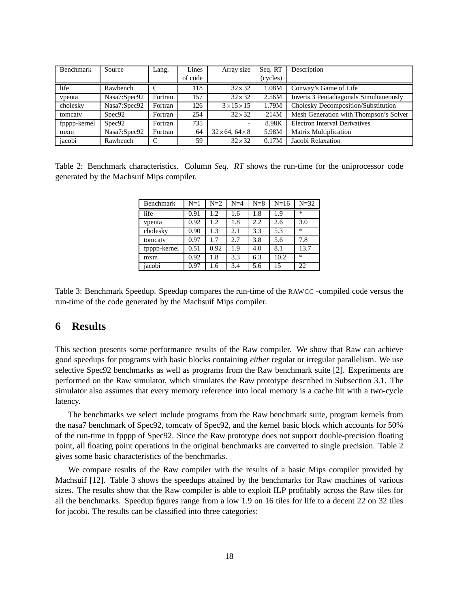| <b>Benchmark</b> | Source             | Lang.   | Lines   | Array size               | Seq. RT  | Description                             |
|------------------|--------------------|---------|---------|--------------------------|----------|-----------------------------------------|
|                  |                    |         | of code |                          | (cycles) |                                         |
| life             | Rawbench           |         | 118     | $32\times32$             | 1.08M    | Conway's Game of Life                   |
| vpenta           | Nasa7:Spec92       | Fortran | 157     | $32\times32$             | 2.56M    | Inverts 3 Pentadiagonals Simultaneously |
| cholesky         | Nasa7:Spec92       | Fortran | 126     | $3 \times 15 \times 15$  | 1.79M    | Cholesky Decomposition/Substitution     |
| tomcaty          | Spec92             | Fortran | 254     | $32\times32$             | 214M     | Mesh Generation with Thompson's Solver  |
| fpppp-kernel     | Spec <sub>92</sub> | Fortran | 735     |                          | 8.98K    | <b>Electron Interval Derivatives</b>    |
| m x m            | Nasa7:Spec92       | Fortran | 64      | $32\times 64.64\times 8$ | 5.98M    | <b>Matrix Multiplication</b>            |
| jacobi           | Rawbench           | C       | 59      | $32\times32$             | 0.17M    | Jacobi Relaxation                       |

Table 2: Benchmark characteristics. Column *Seq. RT* shows the run-time for the uniprocessor code generated by the Machsuif Mips compiler.

| Benchmark    | $N=1$ | $N=2$ | $N=4$ | $N=8$ | $N=16$ | $N = 32$ |
|--------------|-------|-------|-------|-------|--------|----------|
| life         | 0.91  | 1.2   | 1.6   | 1.8   | 1.9    | $\ast$   |
| vpenta       | 0.92  | 1.2   | 1.8   | 2.2   | 2.6    | 3.0      |
| cholesky     | 0.90  | 1.3   | 2.1   | 3.3   | 5.3    | $\ast$   |
| tomcaty      | 0.97  | 1.7   | 2.7   | 3.8   | 5.6    | 7.8      |
| fpppp-kernel | 0.51  | 0.92  | 1.9   | 4.0   | 8.1    | 13.7     |
| mxm          | 0.92  | 1.8   | 3.3   | 6.3   | 10.2   | $\ast$   |
| jacobi       | 0.97  | 1.6   | 3.4   | 5.6   | 15     | 22       |

Table 3: Benchmark Speedup. Speedup compares the run-time of the RAWCC -compiled code versus the run-time of the code generated by the Machsuif Mips compiler.

### **6 Results**

This section presents some performance results of the Raw compiler. We show that Raw can achieve good speedups for programs with basic blocks containing *either* regular or irregular parallelism. We use selective Spec92 benchmarks as well as programs from the Raw benchmark suite [2]. Experiments are performed on the Raw simulator, which simulates the Raw prototype described in Subsection 3.1. The simulator also assumes that every memory reference into local memory is a cache hit with a two-cycle latency.

The benchmarks we select include programs from the Raw benchmark suite, program kernels from the nasa7 benchmark of Spec92, tomcatv of Spec92, and the kernel basic block which accounts for 50% of the run-time in fpppp of Spec92. Since the Raw prototype does not support double-precision floating point, all floating point operations in the original benchmarks are converted to single precision. Table 2 gives some basic characteristics of the benchmarks.

We compare results of the Raw compiler with the results of a basic Mips compiler provided by Machsuif [12]. Table 3 shows the speedups attained by the benchmarks for Raw machines of various sizes. The results show that the Raw compiler is able to exploit ILP profitably across the Raw tiles for all the benchmarks. Speedup figures range from a low 1.9 on 16 tiles for life to a decent 22 on 32 tiles for jacobi. The results can be classified into three categories: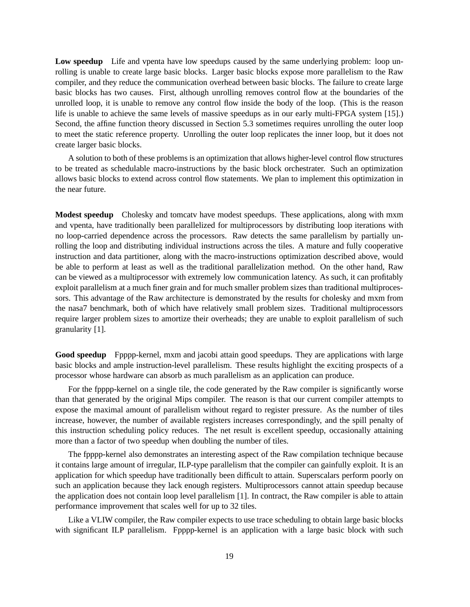Low speedup Life and vpenta have low speedups caused by the same underlying problem: loop unrolling is unable to create large basic blocks. Larger basic blocks expose more parallelism to the Raw compiler, and they reduce the communication overhead between basic blocks. The failure to create large basic blocks has two causes. First, although unrolling removes control flow at the boundaries of the unrolled loop, it is unable to remove any control flow inside the body of the loop. (This is the reason life is unable to achieve the same levels of massive speedups as in our early multi-FPGA system [15].) Second, the affine function theory discussed in Section 5.3 sometimes requires unrolling the outer loop to meet the static reference property. Unrolling the outer loop replicates the inner loop, but it does not create larger basic blocks.

A solution to both of these problems is an optimization that allows higher-level control flow structures to be treated as schedulable macro-instructions by the basic block orchestrater. Such an optimization allows basic blocks to extend across control flow statements. We plan to implement this optimization in the near future.

**Modest speedup** Cholesky and tomcatv have modest speedups. These applications, along with mxm and vpenta, have traditionally been parallelized for multiprocessors by distributing loop iterations with no loop-carried dependence across the processors. Raw detects the same parallelism by partially unrolling the loop and distributing individual instructions across the tiles. A mature and fully cooperative instruction and data partitioner, along with the macro-instructions optimization described above, would be able to perform at least as well as the traditional parallelization method. On the other hand, Raw can be viewed as a multiprocessor with extremely low communication latency. As such, it can profitably exploit parallelism at a much finer grain and for much smaller problem sizes than traditional multiprocessors. This advantage of the Raw architecture is demonstrated by the results for cholesky and mxm from the nasa7 benchmark, both of which have relatively small problem sizes. Traditional multiprocessors require larger problem sizes to amortize their overheads; they are unable to exploit parallelism of such granularity [1].

**Good speedup** Fpppp-kernel, mxm and jacobi attain good speedups. They are applications with large basic blocks and ample instruction-level parallelism. These results highlight the exciting prospects of a processor whose hardware can absorb as much parallelism as an application can produce.

For the fpppp-kernel on a single tile, the code generated by the Raw compiler is significantly worse than that generated by the original Mips compiler. The reason is that our current compiler attempts to expose the maximal amount of parallelism without regard to register pressure. As the number of tiles increase, however, the number of available registers increases correspondingly, and the spill penalty of this instruction scheduling policy reduces. The net result is excellent speedup, occasionally attaining more than a factor of two speedup when doubling the number of tiles.

The fpppp-kernel also demonstrates an interesting aspect of the Raw compilation technique because it contains large amount of irregular, ILP-type parallelism that the compiler can gainfully exploit. It is an application for which speedup have traditionally been difficult to attain. Superscalars perform poorly on such an application because they lack enough registers. Multiprocessors cannot attain speedup because the application does not contain loop level parallelism [1]. In contract, the Raw compiler is able to attain performance improvement that scales well for up to 32 tiles.

Like a VLIW compiler, the Raw compiler expects to use trace scheduling to obtain large basic blocks with significant ILP parallelism. Fpppp-kernel is an application with a large basic block with such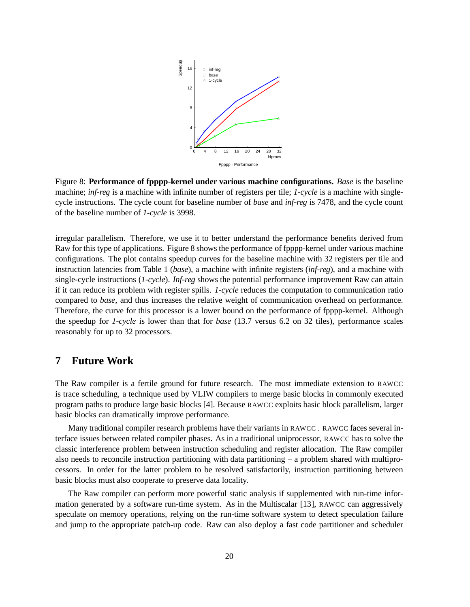

Figure 8: **Performance of fpppp-kernel under various machine configurations.** *Base* is the baseline machine; *inf-reg* is a machine with infinite number of registers per tile; *1-cycle* is a machine with singlecycle instructions. The cycle count for baseline number of *base* and *inf-reg* is 7478, and the cycle count of the baseline number of *1-cycle* is 3998.

irregular parallelism. Therefore, we use it to better understand the performance benefits derived from Raw for this type of applications. Figure 8 shows the performance of fpppp-kernel under various machine configurations. The plot contains speedup curves for the baseline machine with 32 registers per tile and instruction latencies from Table 1 (*base*), a machine with infinite registers (*inf-reg*), and a machine with single-cycle instructions (*1-cycle*). *Inf-reg* shows the potential performance improvement Raw can attain if it can reduce its problem with register spills. *1-cycle* reduces the computation to communication ratio compared to *base*, and thus increases the relative weight of communication overhead on performance. Therefore, the curve for this processor is a lower bound on the performance of fpppp-kernel. Although the speedup for *1-cycle* is lower than that for *base* (13.7 versus 6.2 on 32 tiles), performance scales reasonably for up to 32 processors.

### **7 Future Work**

The Raw compiler is a fertile ground for future research. The most immediate extension to RAWCC is trace scheduling, a technique used by VLIW compilers to merge basic blocks in commonly executed program paths to produce large basic blocks [4]. Because RAWCC exploits basic block parallelism, larger basic blocks can dramatically improve performance.

Many traditional compiler research problems have their variants in RAWCC . RAWCC faces several interface issues between related compiler phases. As in a traditional uniprocessor, RAWCC has to solve the classic interference problem between instruction scheduling and register allocation. The Raw compiler also needs to reconcile instruction partitioning with data partitioning – a problem shared with multiprocessors. In order for the latter problem to be resolved satisfactorily, instruction partitioning between basic blocks must also cooperate to preserve data locality.

The Raw compiler can perform more powerful static analysis if supplemented with run-time information generated by a software run-time system. As in the Multiscalar [13], RAWCC can aggressively speculate on memory operations, relying on the run-time software system to detect speculation failure and jump to the appropriate patch-up code. Raw can also deploy a fast code partitioner and scheduler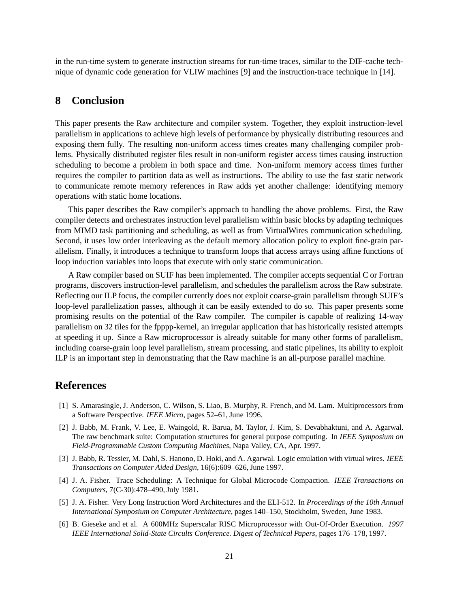in the run-time system to generate instruction streams for run-time traces, similar to the DIF-cache technique of dynamic code generation for VLIW machines [9] and the instruction-trace technique in [14].

### **8 Conclusion**

This paper presents the Raw architecture and compiler system. Together, they exploit instruction-level parallelism in applications to achieve high levels of performance by physically distributing resources and exposing them fully. The resulting non-uniform access times creates many challenging compiler problems. Physically distributed register files result in non-uniform register access times causing instruction scheduling to become a problem in both space and time. Non-uniform memory access times further requires the compiler to partition data as well as instructions. The ability to use the fast static network to communicate remote memory references in Raw adds yet another challenge: identifying memory operations with static home locations.

This paper describes the Raw compiler's approach to handling the above problems. First, the Raw compiler detects and orchestrates instruction level parallelism within basic blocks by adapting techniques from MIMD task partitioning and scheduling, as well as from VirtualWires communication scheduling. Second, it uses low order interleaving as the default memory allocation policy to exploit fine-grain parallelism. Finally, it introduces a technique to transform loops that access arrays using affine functions of loop induction variables into loops that execute with only static communication.

A Raw compiler based on SUIF has been implemented. The compiler accepts sequential C or Fortran programs, discovers instruction-level parallelism, and schedules the parallelism across the Raw substrate. Reflecting our ILP focus, the compiler currently does not exploit coarse-grain parallelism through SUIF's loop-level parallelization passes, although it can be easily extended to do so. This paper presents some promising results on the potential of the Raw compiler. The compiler is capable of realizing 14-way parallelism on 32 tiles for the fpppp-kernel, an irregular application that has historically resisted attempts at speeding it up. Since a Raw microprocessor is already suitable for many other forms of parallelism, including coarse-grain loop level parallelism, stream processing, and static pipelines, its ability to exploit ILP is an important step in demonstrating that the Raw machine is an all-purpose parallel machine.

### **References**

- [1] S. Amarasingle, J. Anderson, C. Wilson, S. Liao, B. Murphy, R. French, and M. Lam. Multiprocessors from a Software Perspective. *IEEE Micro*, pages 52–61, June 1996.
- [2] J. Babb, M. Frank, V. Lee, E. Waingold, R. Barua, M. Taylor, J. Kim, S. Devabhaktuni, and A. Agarwal. The raw benchmark suite: Computation structures for general purpose computing. In *IEEE Symposium on Field-Programmable Custom Computing Machines*, Napa Valley, CA, Apr. 1997.
- [3] J. Babb, R. Tessier, M. Dahl, S. Hanono, D. Hoki, and A. Agarwal. Logic emulation with virtual wires. *IEEE Transactions on Computer Aided Design*, 16(6):609–626, June 1997.
- [4] J. A. Fisher. Trace Scheduling: A Technique for Global Microcode Compaction. *IEEE Transactions on Computers*, 7(C-30):478–490, July 1981.
- [5] J. A. Fisher. Very Long Instruction Word Architectures and the ELI-512. In *Proceedings of the 10th Annual International Symposium on Computer Architecture*, pages 140–150, Stockholm, Sweden, June 1983.
- [6] B. Gieseke and et al. A 600MHz Superscalar RISC Microprocessor with Out-Of-Order Execution. *1997 IEEE International Solid-State Circults Conference. Digest of Technical Papers*, pages 176–178, 1997.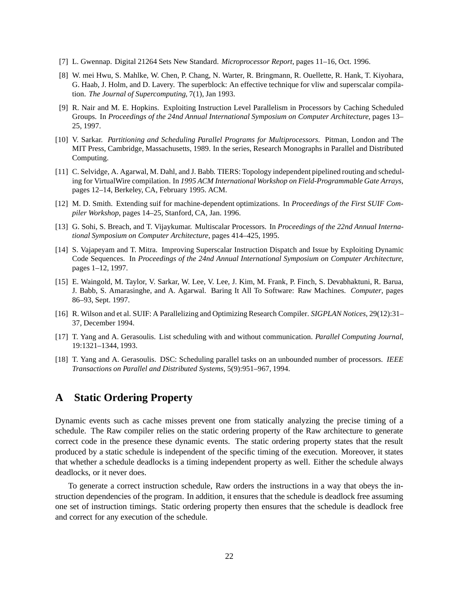- [7] L. Gwennap. Digital 21264 Sets New Standard. *Microprocessor Report*, pages 11–16, Oct. 1996.
- [8] W. mei Hwu, S. Mahlke, W. Chen, P. Chang, N. Warter, R. Bringmann, R. Ouellette, R. Hank, T. Kiyohara, G. Haab, J. Holm, and D. Lavery. The superblock: An effective technique for vliw and superscalar compilation. *The Journal of Supercomputing*, 7(1), Jan 1993.
- [9] R. Nair and M. E. Hopkins. Exploiting Instruction Level Parallelism in Processors by Caching Scheduled Groups. In *Proceedings of the 24nd Annual International Symposium on Computer Architecture*, pages 13– 25, 1997.
- [10] V. Sarkar. *Partitioning and Scheduling Parallel Programs for Multiprocessors*. Pitman, London and The MIT Press, Cambridge, Massachusetts, 1989. In the series, Research Monographs in Parallel and Distributed Computing.
- [11] C. Selvidge, A. Agarwal, M. Dahl, and J. Babb. TIERS: Topology independent pipelined routing and scheduling for VirtualWire compilation. In *1995 ACM International Workshop on Field-Programmable Gate Arrays*, pages 12–14, Berkeley, CA, February 1995. ACM.
- [12] M. D. Smith. Extending suif for machine-dependent optimizations. In *Proceedings of the First SUIF Compiler Workshop*, pages 14–25, Stanford, CA, Jan. 1996.
- [13] G. Sohi, S. Breach, and T. Vijaykumar. Multiscalar Processors. In *Proceedings of the 22nd Annual International Symposium on Computer Architecture*, pages 414–425, 1995.
- [14] S. Vajapeyam and T. Mitra. Improving Superscalar Instruction Dispatch and Issue by Exploiting Dynamic Code Sequences. In *Proceedings of the 24nd Annual International Symposium on Computer Architecture*, pages 1–12, 1997.
- [15] E. Waingold, M. Taylor, V. Sarkar, W. Lee, V. Lee, J. Kim, M. Frank, P. Finch, S. Devabhaktuni, R. Barua, J. Babb, S. Amarasinghe, and A. Agarwal. Baring It All To Software: Raw Machines. *Computer*, pages 86–93, Sept. 1997.
- [16] R. Wilson and et al. SUIF: A Parallelizing and Optimizing Research Compiler. *SIGPLAN Notices*, 29(12):31– 37, December 1994.
- [17] T. Yang and A. Gerasoulis. List scheduling with and without communication. *Parallel Computing Journal*, 19:1321–1344, 1993.
- [18] T. Yang and A. Gerasoulis. DSC: Scheduling parallel tasks on an unbounded number of processors. *IEEE Transactions on Parallel and Distributed Systems*, 5(9):951–967, 1994.

## **A Static Ordering Property**

Dynamic events such as cache misses prevent one from statically analyzing the precise timing of a schedule. The Raw compiler relies on the static ordering property of the Raw architecture to generate correct code in the presence these dynamic events. The static ordering property states that the result produced by a static schedule is independent of the specific timing of the execution. Moreover, it states that whether a schedule deadlocks is a timing independent property as well. Either the schedule always deadlocks, or it never does.

To generate a correct instruction schedule, Raw orders the instructions in a way that obeys the instruction dependencies of the program. In addition, it ensures that the schedule is deadlock free assuming one set of instruction timings. Static ordering property then ensures that the schedule is deadlock free and correct for any execution of the schedule.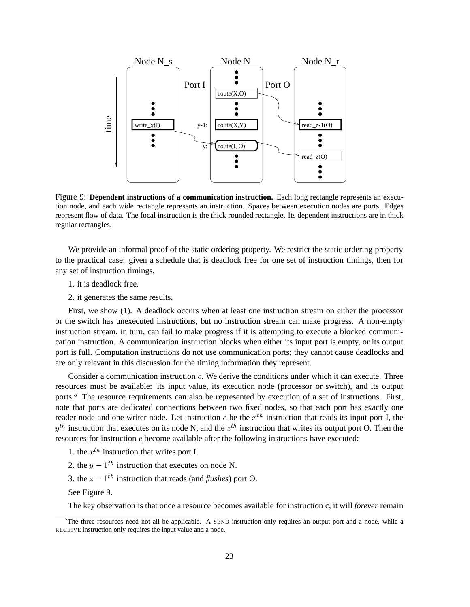

Figure 9: **Dependent instructions of a communication instruction.** Each long rectangle represents an execution node, and each wide rectangle represents an instruction. Spaces between execution nodes are ports. Edges represent flow of data. The focal instruction is the thick rounded rectangle. Its dependent instructions are in thick regular rectangles.

We provide an informal proof of the static ordering property. We restrict the static ordering property to the practical case: given a schedule that is deadlock free for one set of instruction timings, then for any set of instruction timings,

- 1. it is deadlock free.
- 2. it generates the same results.

First, we show (1). A deadlock occurs when at least one instruction stream on either the processor or the switch has unexecuted instructions, but no instruction stream can make progress. A non-empty instruction stream, in turn, can fail to make progress if it is attempting to execute a blocked communication instruction. A communication instruction blocks when either its input port is empty, or its output port is full. Computation instructions do not use communication ports; they cannot cause deadlocks and are only relevant in this discussion for the timing information they represent.

Consider a communication instruction c. We derive the conditions under which it can execute. Three resources must be available: its input value, its execution node (processor or switch), and its output ports.<sup>5</sup> The resource requirements can also be represented by execution of a set of instructions. First, note that ports are dedicated connections between two fixed nodes, so that each port has exactly one reader node and one writer node. Let instruction c be the  $x^{th}$  instruction that reads its input port I, the  $y^{th}$  instruction that executes on its node N, and the  $z^{th}$  instruction that writes its output port O. Then the resources for instruction c become available after the following instructions have executed:

- 1. the  $x^{th}$  instruction that writes port I.
- 2. the  $y 1^{th}$  instruction that executes on node N.
- 3. the  $z 1$ <sup>th</sup> instruction that reads (and *flushes*) port O.

See Figure 9.

The key observation is that once a resource becomes available for instruction c, it will *forever* remain

<sup>&</sup>lt;sup>5</sup>The three resources need not all be applicable. A SEND instruction only requires an output port and a node, while a RECEIVE instruction only requires the input value and a node.